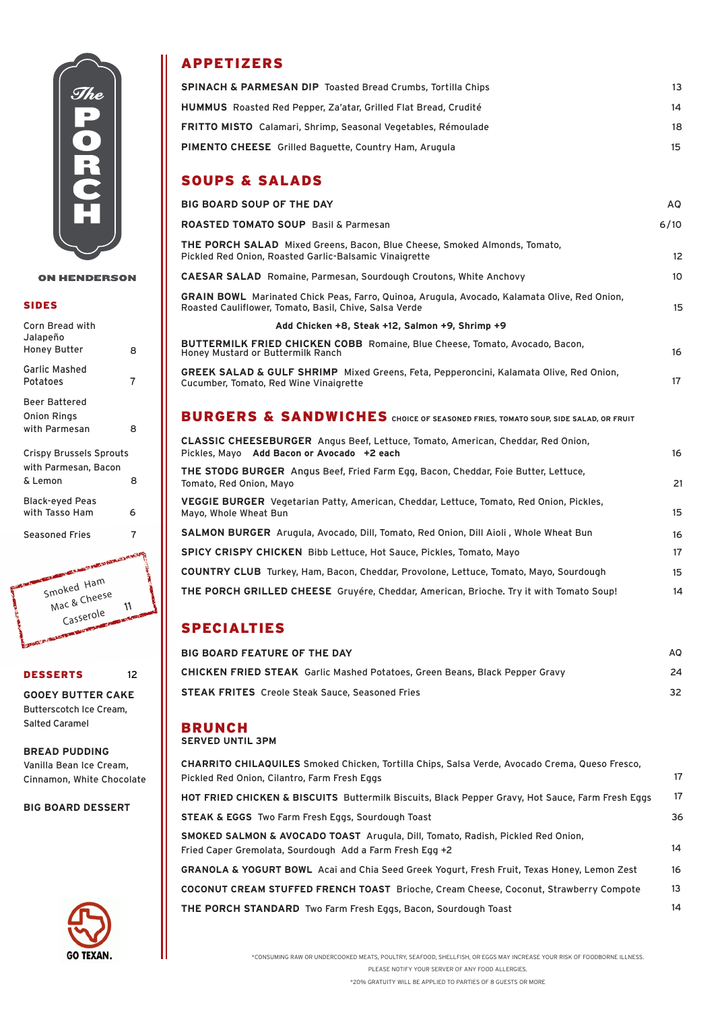

#### **ON HENDERSON**

### SIDES

| Corn Bread with<br>Jalapeño |   |
|-----------------------------|---|
| Honey Butter                | 8 |
| Garlic Mashed<br>Potatoes   | 7 |
| <b>Beer Battered</b>        |   |
| <b>Onion Rings</b>          |   |
| with Parmesan               | 8 |
|                             |   |

Crispy Brussels Sprouts with Parmesan, Bacon & Lemon 8

Black-eyed Peas with Tasso Ham 6

Seasoned Fries 7



#### DESSERTS 12

**GOOEY BUTTER CAKE** Butterscotch Ice Cream, Salted Caramel

**BREAD PUDDING** Vanilla Bean Ice Cream, Cinnamon, White Chocolate

**BIG BOARD DESSERT**



## APPETIZERS

| <b>SPINACH &amp; PARMESAN DIP</b> Toasted Bread Crumbs, Tortilla Chips | 13. |
|------------------------------------------------------------------------|-----|
| <b>HUMMUS</b> Roasted Red Pepper, Za'atar, Grilled Flat Bread, Crudité | 14. |
| <b>FRITTO MISTO</b> Calamari, Shrimp, Seasonal Vegetables, Rémoulade   | 18. |
| <b>PIMENTO CHEESE</b> Grilled Baguette, Country Ham, Arugula           |     |

## SOUPS & SALADS

| <b>BIG BOARD SOUP OF THE DAY</b><br><b>ROASTED TOMATO SOUP</b> Basil & Parmesan<br>THE PORCH SALAD Mixed Greens, Bacon, Blue Cheese, Smoked Almonds, Tomato,<br>Pickled Red Onion, Roasted Garlic-Balsamic Vinaigrette<br><b>CAESAR SALAD</b> Romaine, Parmesan, Sourdough Croutons, White Anchovy<br>GRAIN BOWL Marinated Chick Peas, Farro, Quinoa, Arugula, Avocado, Kalamata Olive, Red Onion,<br>Roasted Cauliflower, Tomato, Basil, Chive, Salsa Verde<br>Add Chicken +8, Steak +12, Salmon +9, Shrimp +9<br><b>BUTTERMILK FRIED CHICKEN COBB</b> Romaine, Blue Cheese, Tomato, Avocado, Bacon,<br>Honey Mustard or Buttermilk Ranch<br><b>GREEK SALAD &amp; GULF SHRIMP</b> Mixed Greens, Feta, Pepperoncini, Kalamata Olive, Red Onion,<br>Cucumber, Tomato, Red Wine Vinaigrette<br>BURGERS & SANDWICHES CHOICE OF SEASONED FRIES, TOMATO SOUP, SIDE SALAD, OR FRUIT<br>CLASSIC CHEESEBURGER Angus Beef, Lettuce, Tomato, American, Cheddar, Red Onion,<br>Pickles, Mayo Add Bacon or Avocado +2 each<br>THE STODG BURGER Angus Beef, Fried Farm Egg, Bacon, Cheddar, Foie Butter, Lettuce,<br>Tomato, Red Onion, Mayo<br>VEGGIE BURGER Vegetarian Patty, American, Cheddar, Lettuce, Tomato, Red Onion, Pickles,<br>Mayo, Whole Wheat Bun<br><b>SALMON BURGER</b> Arugula, Avocado, Dill, Tomato, Red Onion, Dill Aioli, Whole Wheat Bun<br><b>SPICY CRISPY CHICKEN</b> Bibb Lettuce, Hot Sauce, Pickles, Tomato, Mayo<br><b>COUNTRY CLUB</b> Turkey, Ham, Bacon, Cheddar, Provolone, Lettuce, Tomato, Mayo, Sourdough | AQ<br>6/10<br>$12 \overline{ }$<br>10<br>15<br>16<br>17<br>16<br>21<br>15<br>16<br>17<br>15<br>14<br>THE PORCH GRILLED CHEESE Gruyére, Cheddar, American, Brioche. Try it with Tomato Soup! |
|----------------------------------------------------------------------------------------------------------------------------------------------------------------------------------------------------------------------------------------------------------------------------------------------------------------------------------------------------------------------------------------------------------------------------------------------------------------------------------------------------------------------------------------------------------------------------------------------------------------------------------------------------------------------------------------------------------------------------------------------------------------------------------------------------------------------------------------------------------------------------------------------------------------------------------------------------------------------------------------------------------------------------------------------------------------------------------------------------------------------------------------------------------------------------------------------------------------------------------------------------------------------------------------------------------------------------------------------------------------------------------------------------------------------------------------------------------------------------------------------------------------------------------|---------------------------------------------------------------------------------------------------------------------------------------------------------------------------------------------|
|                                                                                                                                                                                                                                                                                                                                                                                                                                                                                                                                                                                                                                                                                                                                                                                                                                                                                                                                                                                                                                                                                                                                                                                                                                                                                                                                                                                                                                                                                                                                  |                                                                                                                                                                                             |
|                                                                                                                                                                                                                                                                                                                                                                                                                                                                                                                                                                                                                                                                                                                                                                                                                                                                                                                                                                                                                                                                                                                                                                                                                                                                                                                                                                                                                                                                                                                                  |                                                                                                                                                                                             |
|                                                                                                                                                                                                                                                                                                                                                                                                                                                                                                                                                                                                                                                                                                                                                                                                                                                                                                                                                                                                                                                                                                                                                                                                                                                                                                                                                                                                                                                                                                                                  |                                                                                                                                                                                             |
|                                                                                                                                                                                                                                                                                                                                                                                                                                                                                                                                                                                                                                                                                                                                                                                                                                                                                                                                                                                                                                                                                                                                                                                                                                                                                                                                                                                                                                                                                                                                  |                                                                                                                                                                                             |
|                                                                                                                                                                                                                                                                                                                                                                                                                                                                                                                                                                                                                                                                                                                                                                                                                                                                                                                                                                                                                                                                                                                                                                                                                                                                                                                                                                                                                                                                                                                                  |                                                                                                                                                                                             |
|                                                                                                                                                                                                                                                                                                                                                                                                                                                                                                                                                                                                                                                                                                                                                                                                                                                                                                                                                                                                                                                                                                                                                                                                                                                                                                                                                                                                                                                                                                                                  |                                                                                                                                                                                             |
|                                                                                                                                                                                                                                                                                                                                                                                                                                                                                                                                                                                                                                                                                                                                                                                                                                                                                                                                                                                                                                                                                                                                                                                                                                                                                                                                                                                                                                                                                                                                  |                                                                                                                                                                                             |
|                                                                                                                                                                                                                                                                                                                                                                                                                                                                                                                                                                                                                                                                                                                                                                                                                                                                                                                                                                                                                                                                                                                                                                                                                                                                                                                                                                                                                                                                                                                                  |                                                                                                                                                                                             |
|                                                                                                                                                                                                                                                                                                                                                                                                                                                                                                                                                                                                                                                                                                                                                                                                                                                                                                                                                                                                                                                                                                                                                                                                                                                                                                                                                                                                                                                                                                                                  |                                                                                                                                                                                             |
|                                                                                                                                                                                                                                                                                                                                                                                                                                                                                                                                                                                                                                                                                                                                                                                                                                                                                                                                                                                                                                                                                                                                                                                                                                                                                                                                                                                                                                                                                                                                  |                                                                                                                                                                                             |
|                                                                                                                                                                                                                                                                                                                                                                                                                                                                                                                                                                                                                                                                                                                                                                                                                                                                                                                                                                                                                                                                                                                                                                                                                                                                                                                                                                                                                                                                                                                                  |                                                                                                                                                                                             |
|                                                                                                                                                                                                                                                                                                                                                                                                                                                                                                                                                                                                                                                                                                                                                                                                                                                                                                                                                                                                                                                                                                                                                                                                                                                                                                                                                                                                                                                                                                                                  |                                                                                                                                                                                             |
|                                                                                                                                                                                                                                                                                                                                                                                                                                                                                                                                                                                                                                                                                                                                                                                                                                                                                                                                                                                                                                                                                                                                                                                                                                                                                                                                                                                                                                                                                                                                  |                                                                                                                                                                                             |
|                                                                                                                                                                                                                                                                                                                                                                                                                                                                                                                                                                                                                                                                                                                                                                                                                                                                                                                                                                                                                                                                                                                                                                                                                                                                                                                                                                                                                                                                                                                                  |                                                                                                                                                                                             |
|                                                                                                                                                                                                                                                                                                                                                                                                                                                                                                                                                                                                                                                                                                                                                                                                                                                                                                                                                                                                                                                                                                                                                                                                                                                                                                                                                                                                                                                                                                                                  |                                                                                                                                                                                             |
|                                                                                                                                                                                                                                                                                                                                                                                                                                                                                                                                                                                                                                                                                                                                                                                                                                                                                                                                                                                                                                                                                                                                                                                                                                                                                                                                                                                                                                                                                                                                  |                                                                                                                                                                                             |

# SPECIALTIES

| <b>BIG BOARD FEATURE OF THE DAY</b>                                                | AQ. |
|------------------------------------------------------------------------------------|-----|
| <b>CHICKEN FRIED STEAK</b> Garlic Mashed Potatoes, Green Beans, Black Pepper Gravy | 24  |
| <b>STEAK FRITES</b> Creole Steak Sauce, Seasoned Fries                             | 32  |

# BRUNCH

|  | <b>SERVED UNTIL 3PM</b> |  |
|--|-------------------------|--|
|  |                         |  |

| CHARRITO CHILAQUILES Smoked Chicken, Tortilla Chips, Salsa Verde, Avocado Crema, Queso Fresco,<br>Pickled Red Onion, Cilantro, Farm Fresh Eggs         | 17 |
|--------------------------------------------------------------------------------------------------------------------------------------------------------|----|
| HOT FRIED CHICKEN & BISCUITS Buttermilk Biscuits, Black Pepper Gravy, Hot Sauce, Farm Fresh Eggs                                                       | 17 |
| <b>STEAK &amp; EGGS</b> Two Farm Fresh Eggs, Sourdough Toast                                                                                           | 36 |
| <b>SMOKED SALMON &amp; AVOCADO TOAST</b> Arugula, Dill, Tomato, Radish, Pickled Red Onion,<br>Fried Caper Gremolata, Sourdough Add a Farm Fresh Egg +2 | 14 |
| <b>GRANOLA &amp; YOGURT BOWL</b> Acai and Chia Seed Greek Yogurt, Fresh Fruit, Texas Honey, Lemon Zest                                                 | 16 |
| <b>COCONUT CREAM STUFFED FRENCH TOAST</b> Brioche, Cream Cheese, Coconut, Strawberry Compote                                                           | 13 |
| <b>THE PORCH STANDARD</b> Two Farm Fresh Eggs, Bacon, Sourdough Toast                                                                                  | 14 |

\*CONSUMING RAW OR UNDERCOOKED MEATS, POULTRY, SEAFOOD, SHELLFISH, OR EGGS MAY INCREASE YOUR RISK OF FOODBORNE ILLNESS.

PLEASE NOTIFY YOUR SERVER OF ANY FOOD ALLERGIES.

\*20% GRATUITY WILL BE APPLIED TO PARTIES OF 8 GUESTS OR MORE